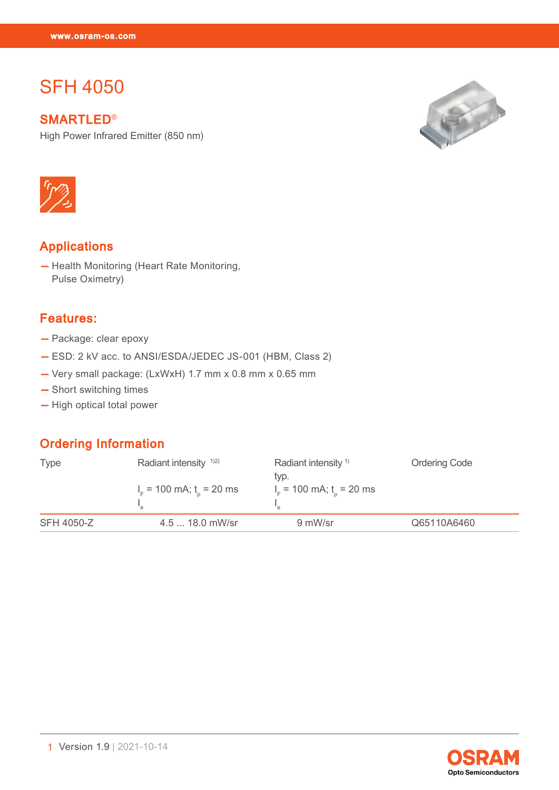# **SFH 4050**

SFH 4050

**SMARTLED®** 

High Power Infrared Emitter (850 nm)





# Applications

— Health Monitoring (Heart Rate Monitoring, Pulse Oximetry)

### Features:

- Package: clear epoxy
- ESD: 2 kV acc. to ANSI/ESDA/JEDEC JS-001 (HBM, Class 2)
- Very small package: (LxWxH) 1.7 mm x 0.8 mm x 0.65 mm
- Short switching times
- High optical total power

# Ordering Information

| <b>Type</b>       | Radiant intensity $1/2$<br>$IF$ = 100 mA; t <sub>n</sub> = 20 ms | Radiant intensity <sup>1)</sup><br>typ.<br>$IF$ = 100 mA; t <sub>n</sub> = 20 ms | <b>Ordering Code</b> |
|-------------------|------------------------------------------------------------------|----------------------------------------------------------------------------------|----------------------|
|                   |                                                                  |                                                                                  |                      |
| <b>SFH 4050-Z</b> | 4.5  18.0 mW/sr                                                  | 9 mW/sr                                                                          | Q65110A6460          |

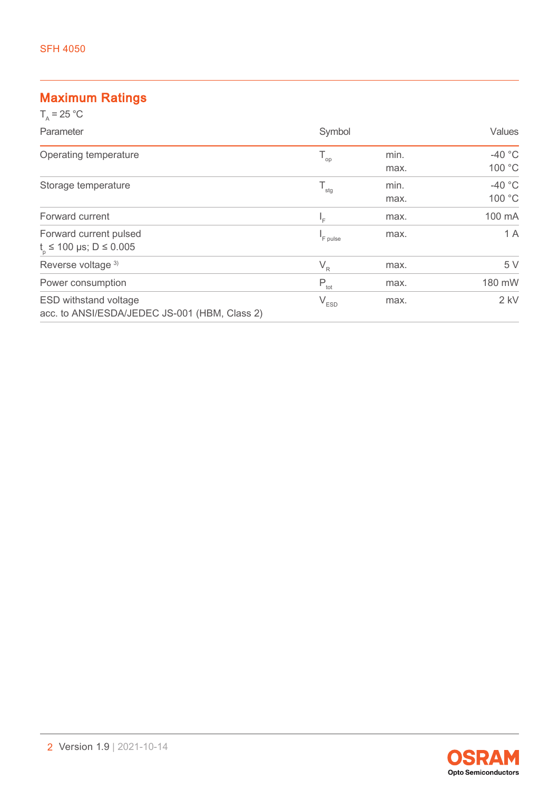# Maximum Ratings

| $T_a = 25 °C$                                                                 |                             |              |                    |
|-------------------------------------------------------------------------------|-----------------------------|--------------|--------------------|
| Parameter                                                                     | Symbol                      |              | Values             |
| Operating temperature                                                         | $\mathsf{T}_{\text{op}}$    | min.<br>max. | $-40$ °C<br>100 °C |
| Storage temperature                                                           | $T_{\rm stg}$               | min.<br>max. | $-40$ °C<br>100 °C |
| Forward current                                                               | $I_{\rm F}$                 | max.         | 100 mA             |
| Forward current pulsed<br>$t_{0} \le 100 \text{ }\mu\text{s}$ ; D $\le 0.005$ | <sup>I</sup> F pulse        | max.         | 1 A                |
| Reverse voltage 3)                                                            | $V_R$                       | max.         | 5 V                |
| Power consumption                                                             | $P_{\text{tot}}$            | max.         | 180 mW             |
| <b>ESD withstand voltage</b><br>acc. to ANSI/ESDA/JEDEC JS-001 (HBM, Class 2) | $\mathsf{V}_{\texttt{ESD}}$ | max.         | $2$ kV             |

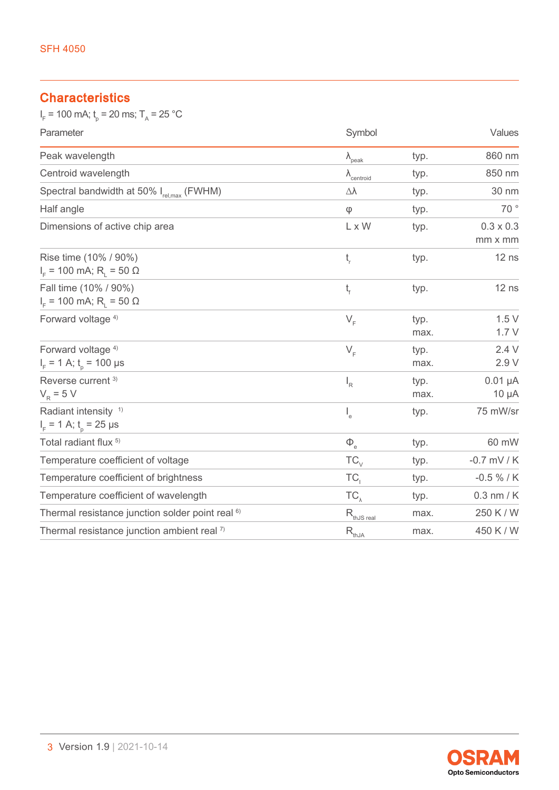# **Characteristics**

 $I_F$  = 100 mA;  $t_p$  = 20 ms; T<sub>A</sub> = 25 °C

| Parameter                                                                | Symbol                        |              | Values                      |
|--------------------------------------------------------------------------|-------------------------------|--------------|-----------------------------|
| Peak wavelength                                                          | $\lambda_{\text{peak}}$       | typ.         | 860 nm                      |
| Centroid wavelength                                                      | $\lambda$ <sub>centroid</sub> | typ.         | 850 nm                      |
| Spectral bandwidth at 50% I <sub>rel,max</sub> (FWHM)                    | Δλ                            | typ.         | 30 nm                       |
| Half angle                                                               | $\phi$                        | typ.         | 70°                         |
| Dimensions of active chip area                                           | L x W                         | typ.         | $0.3 \times 0.3$<br>mm x mm |
| Rise time (10% / 90%)<br>$I_{F}$ = 100 mA; R <sub>1</sub> = 50 $\Omega$  | $t_{\rm r}$                   | typ.         | $12$ ns                     |
| Fall time (10% / 90%)<br>$I_{F}$ = 100 mA; R <sub>1</sub> = 50 $\Omega$  | $t_{\rm f}$                   | typ.         | $12$ ns                     |
| Forward voltage <sup>4)</sup>                                            | $V_F$                         | typ.<br>max. | 1.5V<br>1.7V                |
| Forward voltage <sup>4)</sup><br>$I_F$ = 1 A; $t_p$ = 100 µs             | $V_F$                         | typ.<br>max. | 2.4V<br>2.9 V               |
| Reverse current <sup>3)</sup><br>$V_R = 5 V$                             | $I_R$                         | typ.<br>max. | $0.01 \mu A$<br>$10 \mu A$  |
| Radiant intensity <sup>1)</sup><br>$I_{F}$ = 1 A; t <sub>n</sub> = 25 µs | $\mathsf{I}_{\mathsf{e}}$     | typ.         | 75 mW/sr                    |
| Total radiant flux <sup>5)</sup>                                         | $\Phi$ <sub>e</sub>           | typ.         | 60 mW                       |
| Temperature coefficient of voltage                                       | $TC_{\vee}$                   | typ.         | $-0.7$ mV / K               |
| Temperature coefficient of brightness                                    | TC,                           | typ.         | $-0.5 \% / K$               |
| Temperature coefficient of wavelength                                    | $TC_{\lambda}$                | typ.         | $0.3$ nm / $K$              |
| Thermal resistance junction solder point real <sup>6)</sup>              | $R_{\text{thJS real}}$        | max.         | 250 K / W                   |
| Thermal resistance junction ambient real 7)                              | $R_{thJA}$                    | max.         | 450 K / W                   |

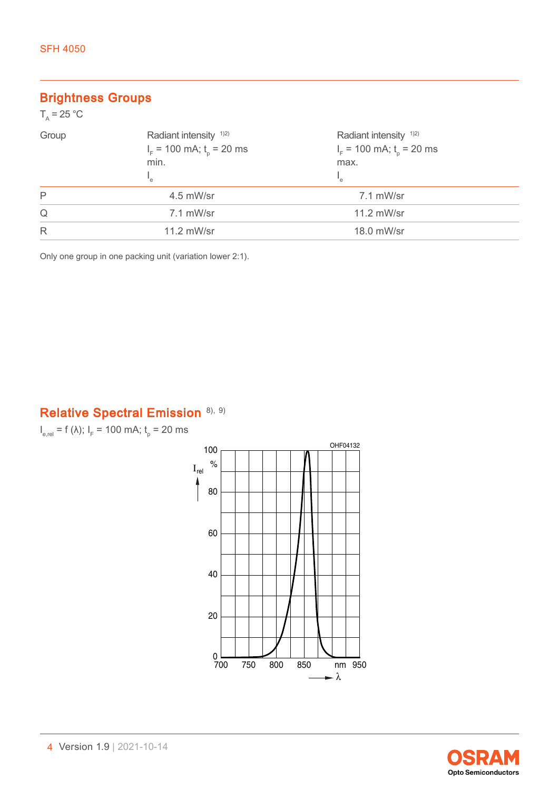# Brightness Groups

| $T_{\rm A}$ = 25 °C |                                                                    |                                                                  |  |
|---------------------|--------------------------------------------------------------------|------------------------------------------------------------------|--|
| Group               | Radiant intensity <sup>1)2)</sup><br>$I_F$ = 100 mA; $t_p$ = 20 ms | Radiant intensity <sup>1)2)</sup><br>$IF$ = 100 mA; $to$ = 20 ms |  |
|                     | min.<br>"e                                                         | max.<br>'e                                                       |  |
| P                   | 4.5 mW/sr                                                          | 7.1 mW/sr                                                        |  |
| Q                   | 7.1 mW/sr                                                          | 11.2 mW/sr                                                       |  |
| R                   | 11.2 mW/sr                                                         | 18.0 mW/sr                                                       |  |

Only one group in one packing unit (variation lower 2:1).

# Relative Spectral Emission [8\),](#page-14-0) [9\)](#page-14-0)

 $I_{e,rel}$  = f (λ);  $I_F$  = 100 mA;  $t_p$  = 20 ms



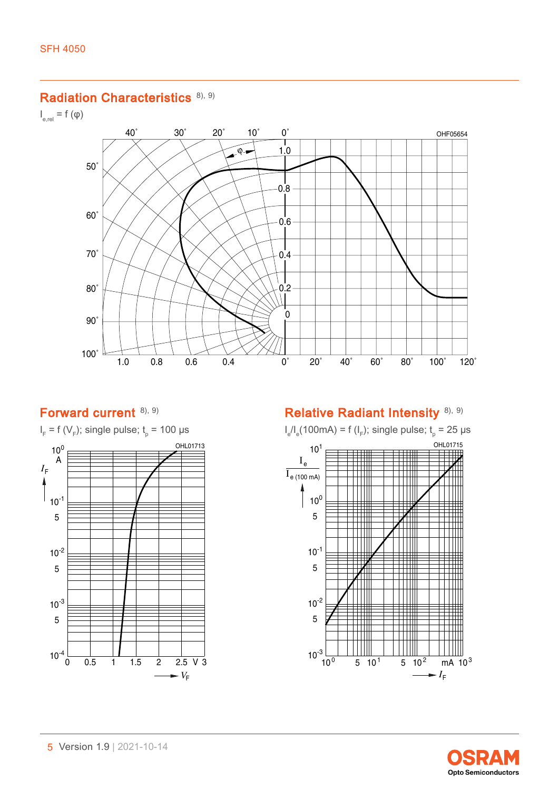#### Radiation Characteristics [8\),](#page-14-0) [9\)](#page-14-0)

 $I_{\text{e,rel}} = f(\phi)$ 



### Forward current [8\),](#page-14-0) [9\)](#page-14-0)



# Relative Radiant Intensity [8\),](#page-14-0) [9\)](#page-14-0)



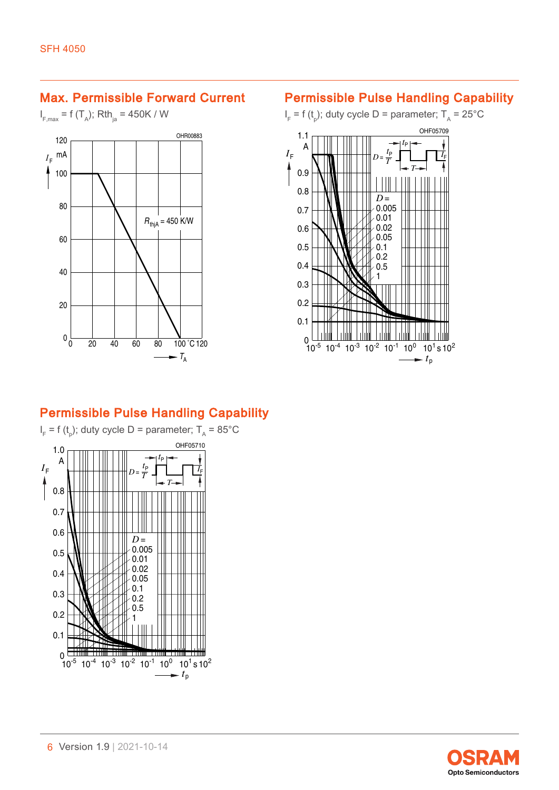## Max. Permissible Forward Current

 $I_{F, \text{max}} = f(T_A)$ ; Rth<sub>ja</sub> = 450K / W



## Permissible Pulse Handling Capability

 $I_{\text{F}}$  = f (t<sub>p</sub>); duty cycle D = parameter; T<sub>A</sub> = 25°C



# Permissible Pulse Handling Capability



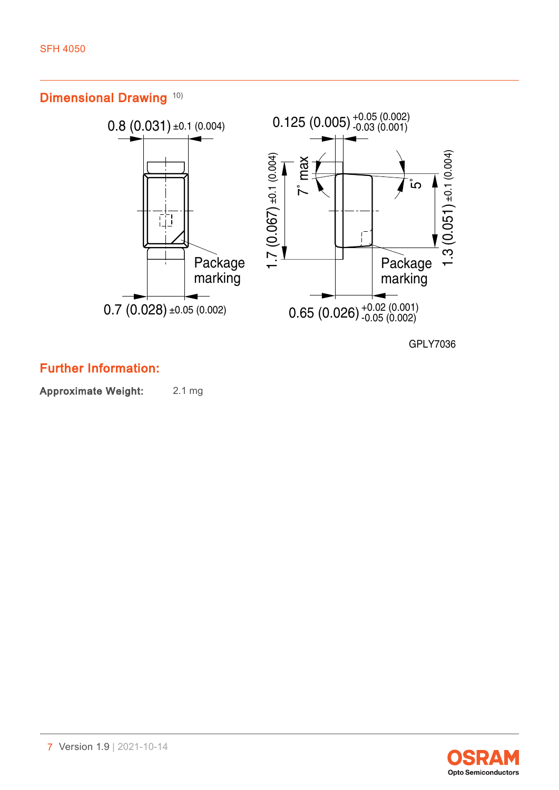Dimensional Drawing [10\)](#page-14-0)



GPLY7036

Further Information:

Approximate Weight: 2.1 mg

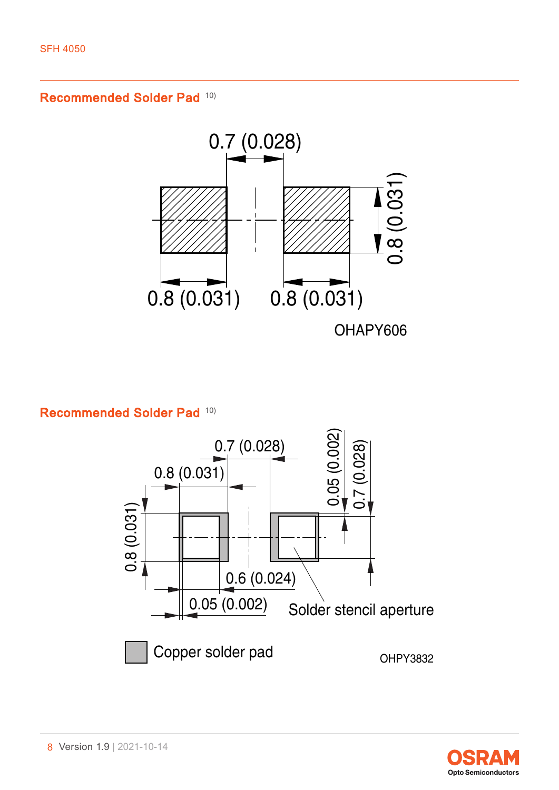Recommended Solder Pad [10\)](#page-14-0)



Recommended Solder Pad [10\)](#page-14-0)



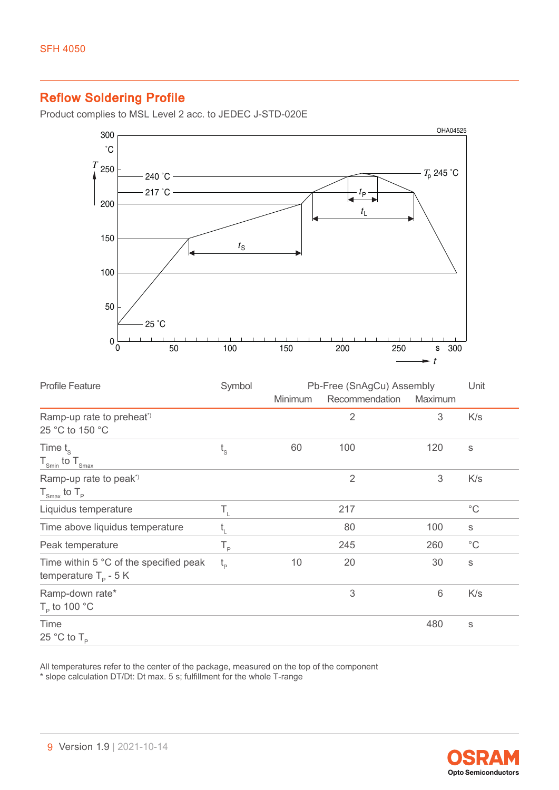# Reflow Soldering Profile

Product complies to MSL Level 2 acc. to JEDEC J-STD-020E



| <b>Profile Feature</b>                                                   | Symbol      | Pb-Free (SnAgCu) Assembly |                |                 | Unit         |
|--------------------------------------------------------------------------|-------------|---------------------------|----------------|-----------------|--------------|
|                                                                          |             | <b>Minimum</b>            | Recommendation | Maximum         |              |
| Ramp-up rate to preheat <sup>*</sup><br>25 °C to 150 °C                  |             |                           | $\overline{2}$ | 3               | K/s          |
| Time $t_{\rm s}$<br>$T_{\text{Smin}}$ to $T_{\text{Smax}}$               | $t_{\rm s}$ | 60                        | 100            | 120             | S            |
| Ramp-up rate to peak <sup>*</sup><br>$T_{\text{Smax}}$ to $T_{\text{p}}$ |             |                           | $\overline{2}$ | 3               | K/s          |
| Liquidus temperature                                                     | Τ,          |                           | 217            |                 | $^{\circ}$ C |
| Time above liquidus temperature                                          | t,          |                           | 80             | 100             | $\mathbb S$  |
| Peak temperature                                                         | $T_{\rm p}$ |                           | 245            | 260             | $^{\circ}$ C |
| Time within 5 °C of the specified peak<br>temperature $T_p - 5K$         | $t_{\rm p}$ | 10                        | 20             | 30              | $\mathbb S$  |
| Ramp-down rate*<br>$T_{\rm p}$ to 100 °C                                 |             |                           | 3              | $6\phantom{1}6$ | K/s          |
| Time<br>25 °C to $T_{\rm p}$                                             |             |                           |                | 480             | S            |

All temperatures refer to the center of the package, measured on the top of the component \* slope calculation DT/Dt: Dt max. 5 s; fulfillment for the whole T-range

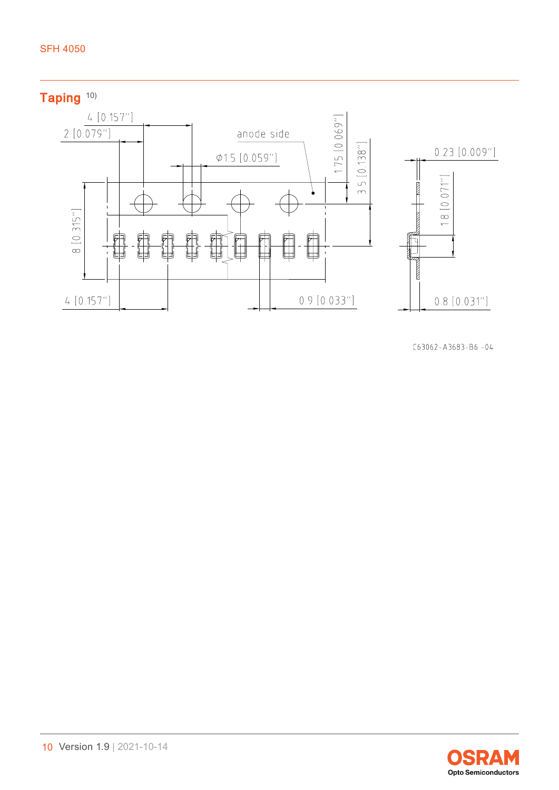

 $C63062 - A3683 - B6 - 04$ 

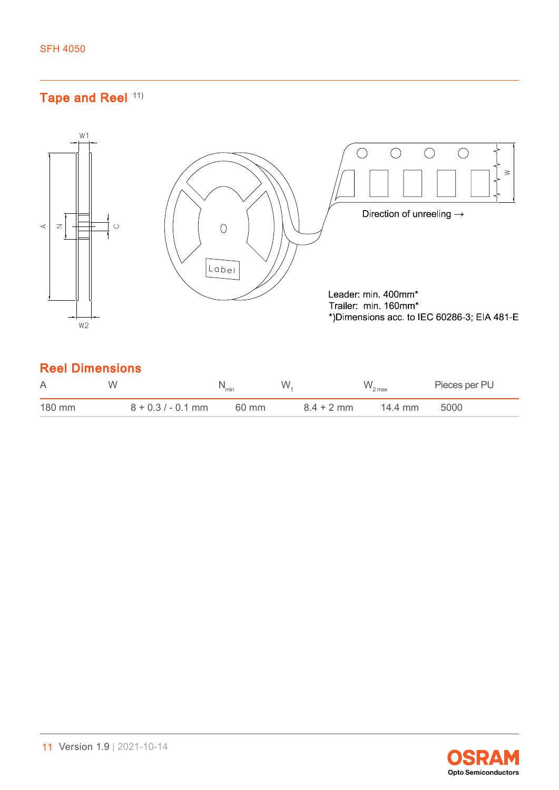# Tape and Reel [11\)](#page-14-0)



| A      | W                    | `min  | W            | $W_{2 \max}$ | Pieces per PU |
|--------|----------------------|-------|--------------|--------------|---------------|
| 180 mm | $8 + 0.3 / - 0.1$ mm | 60 mm | $8.4 + 2$ mm | 14.4 mm      | 5000          |

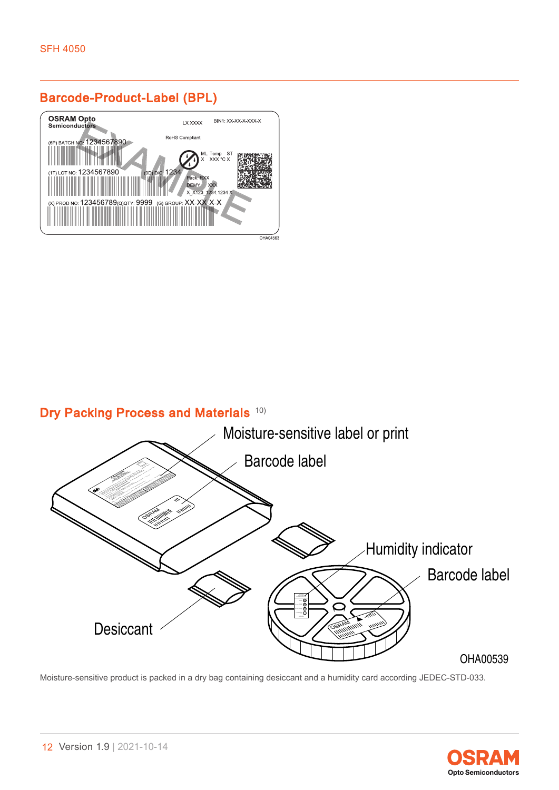# Barcode-Product-Label (BPL)



# Dry Packing Process and Materials [10\)](#page-14-0)



Moisture-sensitive product is packed in a dry bag containing desiccant and a humidity card according JEDEC-STD-033.

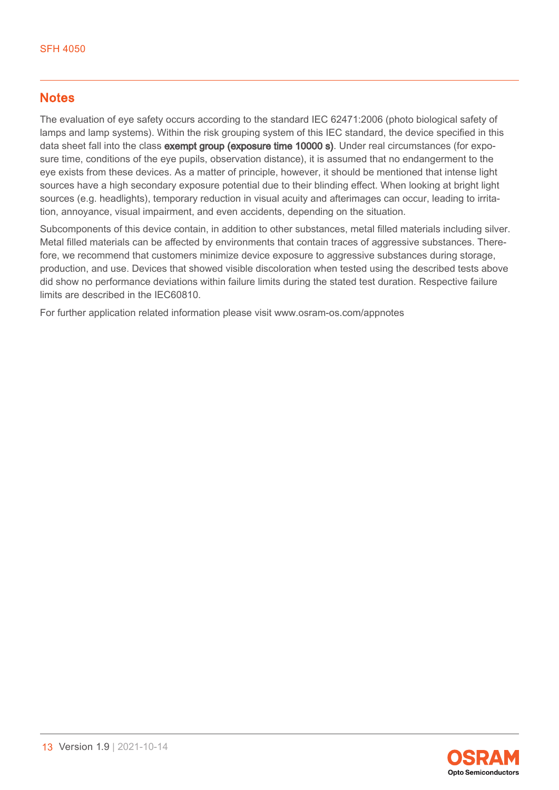### **Notes**

The evaluation of eye safety occurs according to the standard IEC 62471:2006 (photo biological safety of lamps and lamp systems). Within the risk grouping system of this IEC standard, the device specified in this data sheet fall into the class exempt group (exposure time 10000 s). Under real circumstances (for exposure time, conditions of the eye pupils, observation distance), it is assumed that no endangerment to the eye exists from these devices. As a matter of principle, however, it should be mentioned that intense light sources have a high secondary exposure potential due to their blinding effect. When looking at bright light sources (e.g. headlights), temporary reduction in visual acuity and afterimages can occur, leading to irritation, annoyance, visual impairment, and even accidents, depending on the situation.

Subcomponents of this device contain, in addition to other substances, metal filled materials including silver. Metal filled materials can be affected by environments that contain traces of aggressive substances. Therefore, we recommend that customers minimize device exposure to aggressive substances during storage, production, and use. Devices that showed visible discoloration when tested using the described tests above did show no performance deviations within failure limits during the stated test duration. Respective failure limits are described in the IEC60810.

For further application related information please visit www.osram-os.com/appnotes

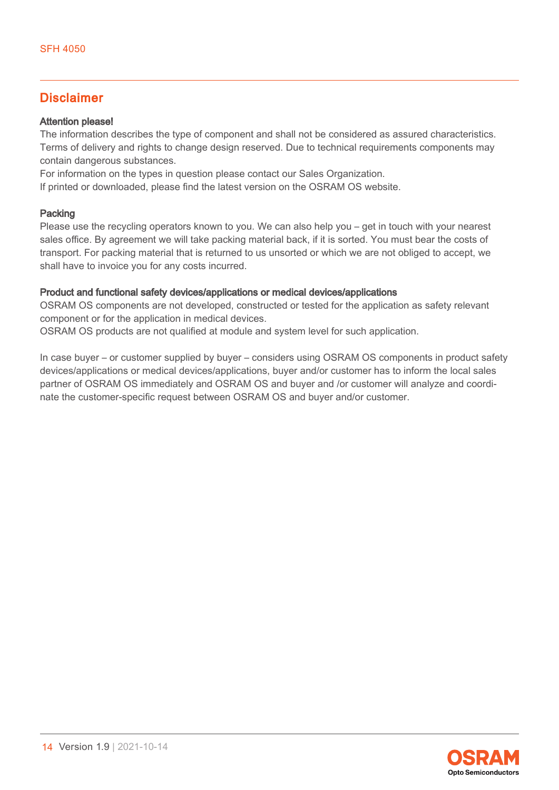### Disclaimer

#### Attention please!

The information describes the type of component and shall not be considered as assured characteristics. Terms of delivery and rights to change design reserved. Due to technical requirements components may contain dangerous substances.

For information on the types in question please contact our Sales Organization.

If printed or downloaded, please find the latest version on the OSRAM OS website.

#### Packing

Please use the recycling operators known to you. We can also help you – get in touch with your nearest sales office. By agreement we will take packing material back, if it is sorted. You must bear the costs of transport. For packing material that is returned to us unsorted or which we are not obliged to accept, we shall have to invoice you for any costs incurred.

#### Product and functional safety devices/applications or medical devices/applications

OSRAM OS components are not developed, constructed or tested for the application as safety relevant component or for the application in medical devices.

OSRAM OS products are not qualified at module and system level for such application.

In case buyer – or customer supplied by buyer – considers using OSRAM OS components in product safety devices/applications or medical devices/applications, buyer and/or customer has to inform the local sales partner of OSRAM OS immediately and OSRAM OS and buyer and /or customer will analyze and coordinate the customer-specific request between OSRAM OS and buyer and/or customer.

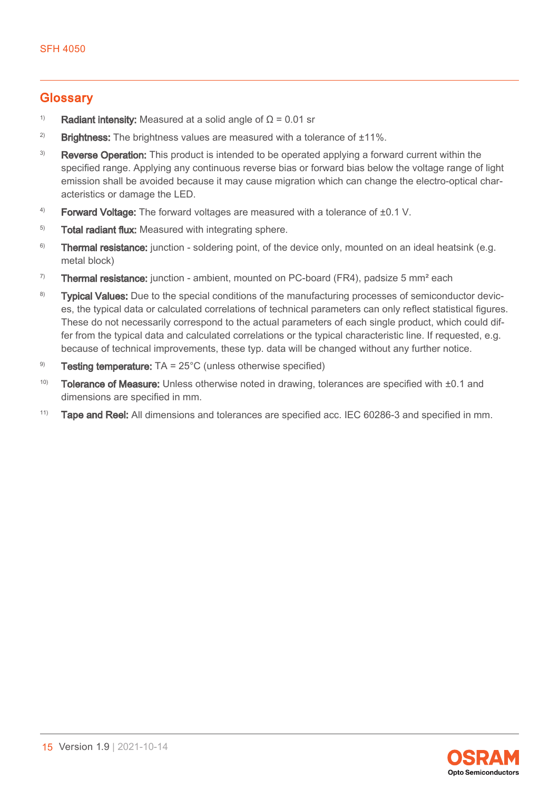### <span id="page-14-0"></span>**Glossary**

- <sup>1)</sup> Radiant intensity: Measured at a solid angle of  $\Omega$  = 0.01 sr
- <sup>2)</sup> Brightness: The brightness values are measured with a tolerance of  $\pm 11\%$ .
- <sup>3)</sup> Reverse Operation: This product is intended to be operated applying a forward current within the specified range. Applying any continuous reverse bias or forward bias below the voltage range of light emission shall be avoided because it may cause migration which can change the electro-optical characteristics or damage the LED.
- $4$ ) Forward Voltage: The forward voltages are measured with a tolerance of  $\pm 0.1$  V.
- <sup>5)</sup> Total radiant flux: Measured with integrating sphere.
- <sup>6)</sup> Thermal resistance: junction soldering point, of the device only, mounted on an ideal heatsink (e.g. metal block)
- <sup>7)</sup> Thermal resistance: junction ambient, mounted on PC-board (FR4), padsize 5 mm<sup>2</sup> each
- <sup>8)</sup> Typical Values: Due to the special conditions of the manufacturing processes of semiconductor devices, the typical data or calculated correlations of technical parameters can only reflect statistical figures. These do not necessarily correspond to the actual parameters of each single product, which could differ from the typical data and calculated correlations or the typical characteristic line. If requested, e.g. because of technical improvements, these typ. data will be changed without any further notice.
- <sup>9)</sup> Testing temperature:  $TA = 25^{\circ}C$  (unless otherwise specified)
- 10) Tolerance of Measure: Unless otherwise noted in drawing, tolerances are specified with ±0.1 and dimensions are specified in mm.
- $11)$  Tape and Reel: All dimensions and tolerances are specified acc. IEC 60286-3 and specified in mm.

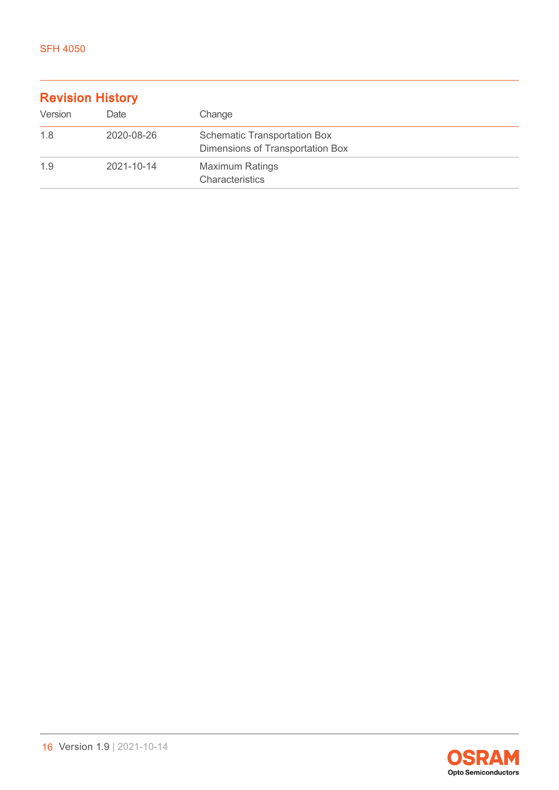| <b>Revision History</b> |            |                                                                         |  |
|-------------------------|------------|-------------------------------------------------------------------------|--|
| Version                 | Date       | Change                                                                  |  |
| 1.8                     | 2020-08-26 | <b>Schematic Transportation Box</b><br>Dimensions of Transportation Box |  |
| 1.9                     | 2021-10-14 | <b>Maximum Ratings</b><br>Characteristics                               |  |